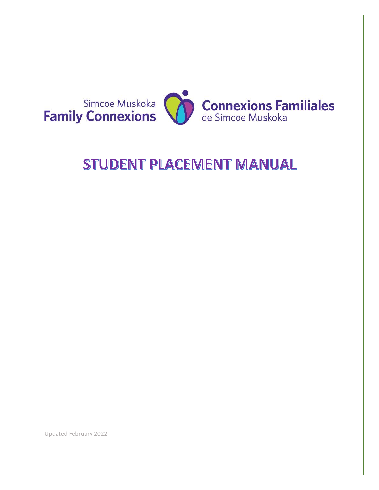

# STUDENT PLACEMENT MANUAL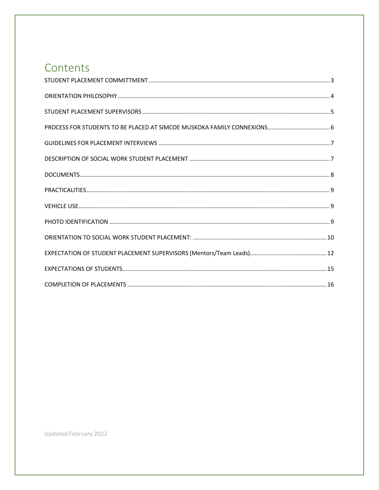### Contents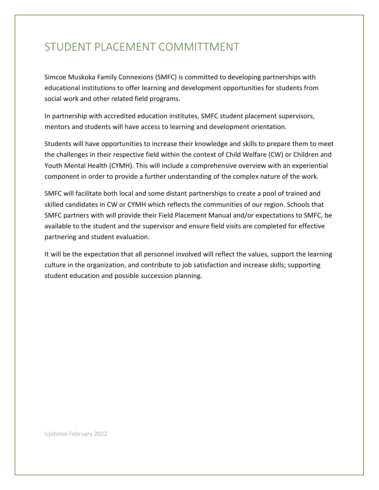### <span id="page-2-0"></span>STUDENT PLACEMENT COMMITTMENT

Simcoe Muskoka Family Connexions (SMFC) is committed to developing partnerships with educational institutions to offer learning and development opportunities for students from social work and other related field programs.

In partnership with accredited education institutes, SMFC student placement supervisors, mentors and students will have access to learning and development orientation.

Students will have opportunities to increase their knowledge and skills to prepare them to meet the challenges in their respective field within the context of Child Welfare (CW) or Children and Youth Mental Health (CYMH). This will include a comprehensive overview with an experiential component in order to provide a further understanding of the complex nature of the work.

SMFC will facilitate both local and some distant partnerships to create a pool of trained and skilled candidates in CW or CYMH which reflects the communities of our region. Schools that SMFC partners with will provide their Field Placement Manual and/or expectations to SMFC, be available to the student and the supervisor and ensure field visits are completed for effective partnering and student evaluation.

It will be the expectation that all personnel involved will reflect the values, support the learning culture in the organization, and contribute to job satisfaction and increase skills; supporting student education and possible succession planning.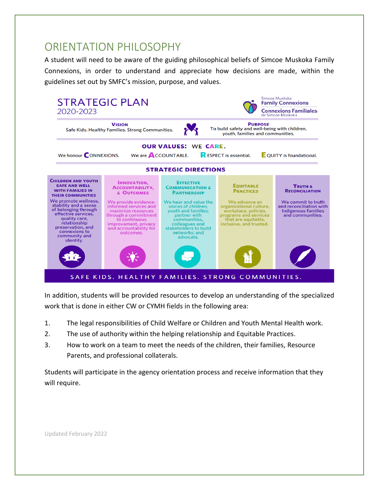### <span id="page-3-0"></span>ORIENTATION PHILOSOPHY

A student will need to be aware of the guiding philosophical beliefs of Simcoe Muskoka Family Connexions, in order to understand and appreciate how decisions are made, within the guidelines set out by SMFC's mission, purpose, and values.



In addition, students will be provided resources to develop an understanding of the specialized work that is done in either CW or CYMH fields in the following area:

- 1. The legal responsibilities of Child Welfare or Children and Youth Mental Health work.
- 2. The use of authority within the helping relationship and Equitable Practices.
- 3. How to work on a team to meet the needs of the children, their families, Resource Parents, and professional collaterals.

Students will participate in the agency orientation process and receive information that they will require.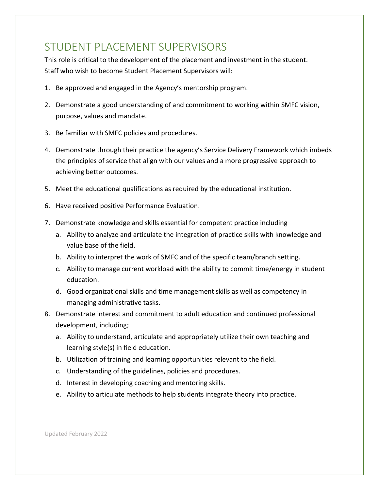### <span id="page-4-0"></span>STUDENT PLACEMENT SUPERVISORS

This role is critical to the development of the placement and investment in the student. Staff who wish to become Student Placement Supervisors will:

- 1. Be approved and engaged in the Agency's mentorship program.
- 2. Demonstrate a good understanding of and commitment to working within SMFC vision, purpose, values and mandate.
- 3. Be familiar with SMFC policies and procedures.
- 4. Demonstrate through their practice the agency's Service Delivery Framework which imbeds the principles of service that align with our values and a more progressive approach to achieving better outcomes.
- 5. Meet the educational qualifications as required by the educational institution.
- 6. Have received positive Performance Evaluation.
- 7. Demonstrate knowledge and skills essential for competent practice including
	- a. Ability to analyze and articulate the integration of practice skills with knowledge and value base of the field.
	- b. Ability to interpret the work of SMFC and of the specific team/branch setting.
	- c. Ability to manage current workload with the ability to commit time/energy in student education.
	- d. Good organizational skills and time management skills as well as competency in managing administrative tasks.
- 8. Demonstrate interest and commitment to adult education and continued professional development, including;
	- a. Ability to understand, articulate and appropriately utilize their own teaching and learning style(s) in field education.
	- b. Utilization of training and learning opportunities relevant to the field.
	- c. Understanding of the guidelines, policies and procedures.
	- d. Interest in developing coaching and mentoring skills.
	- e. Ability to articulate methods to help students integrate theory into practice.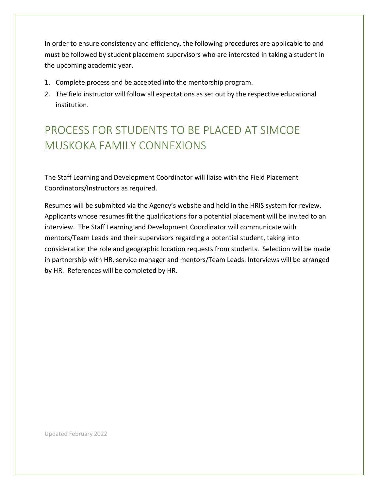In order to ensure consistency and efficiency, the following procedures are applicable to and must be followed by student placement supervisors who are interested in taking a student in the upcoming academic year.

- 1. Complete process and be accepted into the mentorship program.
- 2. The field instructor will follow all expectations as set out by the respective educational institution.

# <span id="page-5-0"></span>PROCESS FOR STUDENTS TO BE PLACED AT SIMCOE MUSKOKA FAMILY CONNEXIONS

The Staff Learning and Development Coordinator will liaise with the Field Placement Coordinators/Instructors as required.

Resumes will be submitted via the Agency's website and held in the HRIS system for review. Applicants whose resumes fit the qualifications for a potential placement will be invited to an interview. The Staff Learning and Development Coordinator will communicate with mentors/Team Leads and their supervisors regarding a potential student, taking into consideration the role and geographic location requests from students. Selection will be made in partnership with HR, service manager and mentors/Team Leads. Interviews will be arranged by HR. References will be completed by HR.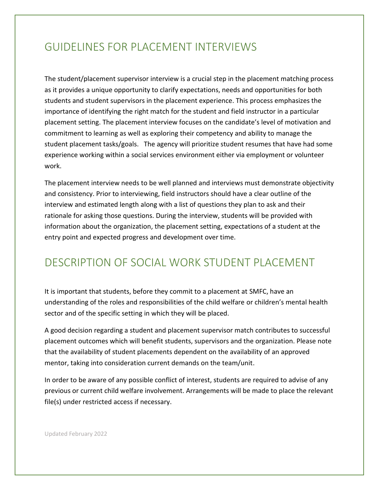### <span id="page-6-0"></span>GUIDELINES FOR PLACEMENT INTERVIEWS

The student/placement supervisor interview is a crucial step in the placement matching process as it provides a unique opportunity to clarify expectations, needs and opportunities for both students and student supervisors in the placement experience. This process emphasizes the importance of identifying the right match for the student and field instructor in a particular placement setting. The placement interview focuses on the candidate's level of motivation and commitment to learning as well as exploring their competency and ability to manage the student placement tasks/goals. The agency will prioritize student resumes that have had some experience working within a social services environment either via employment or volunteer work.

The placement interview needs to be well planned and interviews must demonstrate objectivity and consistency. Prior to interviewing, field instructors should have a clear outline of the interview and estimated length along with a list of questions they plan to ask and their rationale for asking those questions. During the interview, students will be provided with information about the organization, the placement setting, expectations of a student at the entry point and expected progress and development over time.

### <span id="page-6-1"></span>DESCRIPTION OF SOCIAL WORK STUDENT PLACEMENT

It is important that students, before they commit to a placement at SMFC, have an understanding of the roles and responsibilities of the child welfare or children's mental health sector and of the specific setting in which they will be placed.

A good decision regarding a student and placement supervisor match contributes to successful placement outcomes which will benefit students, supervisors and the organization. Please note that the availability of student placements dependent on the availability of an approved mentor, taking into consideration current demands on the team/unit.

In order to be aware of any possible conflict of interest, students are required to advise of any previous or current child welfare involvement. Arrangements will be made to place the relevant file(s) under restricted access if necessary.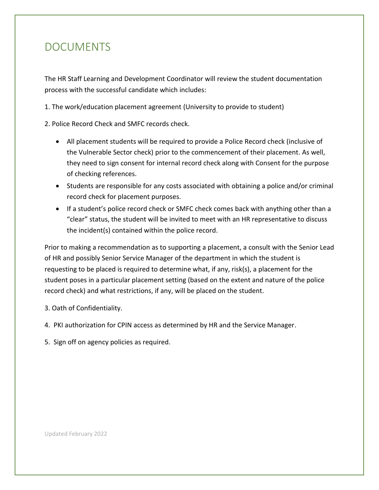### <span id="page-7-0"></span>DOCUMENTS

The HR Staff Learning and Development Coordinator will review the student documentation process with the successful candidate which includes:

1. The work/education placement agreement (University to provide to student)

2. Police Record Check and SMFC records check.

- All placement students will be required to provide a Police Record check (inclusive of the Vulnerable Sector check) prior to the commencement of their placement. As well, they need to sign consent for internal record check along with Consent for the purpose of checking references.
- Students are responsible for any costs associated with obtaining a police and/or criminal record check for placement purposes.
- If a student's police record check or SMFC check comes back with anything other than a "clear" status, the student will be invited to meet with an HR representative to discuss the incident(s) contained within the police record.

Prior to making a recommendation as to supporting a placement, a consult with the Senior Lead of HR and possibly Senior Service Manager of the department in which the student is requesting to be placed is required to determine what, if any, risk(s), a placement for the student poses in a particular placement setting (based on the extent and nature of the police record check) and what restrictions, if any, will be placed on the student.

3. Oath of Confidentiality.

- 4. PKI authorization for CPIN access as determined by HR and the Service Manager.
- 5. Sign off on agency policies as required.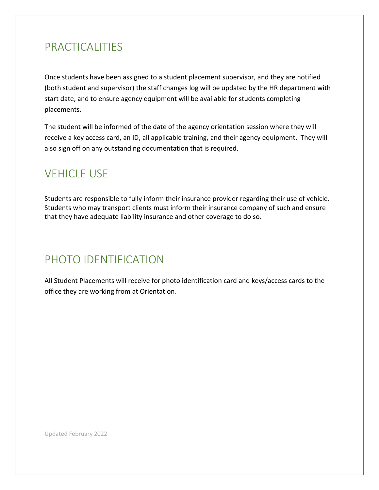### <span id="page-8-0"></span>PRACTICALITIES

Once students have been assigned to a student placement supervisor, and they are notified (both student and supervisor) the staff changes log will be updated by the HR department with start date, and to ensure agency equipment will be available for students completing placements.

The student will be informed of the date of the agency orientation session where they will receive a key access card, an ID, all applicable training, and their agency equipment. They will also sign off on any outstanding documentation that is required.

## <span id="page-8-1"></span>**VEHICLE USE**

Students are responsible to fully inform their insurance provider regarding their use of vehicle. Students who may transport clients must inform their insurance company of such and ensure that they have adequate liability insurance and other coverage to do so.

# <span id="page-8-2"></span>PHOTO IDENTIFICATION

All Student Placements will receive for photo identification card and keys/access cards to the office they are working from at Orientation.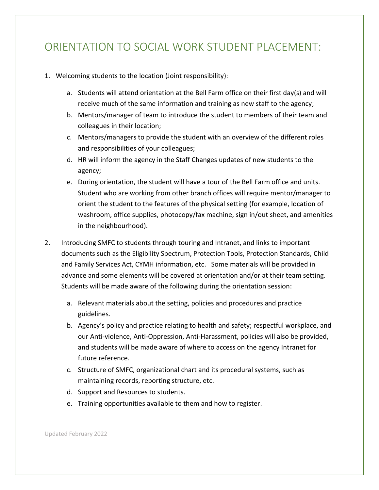### <span id="page-9-0"></span>ORIENTATION TO SOCIAL WORK STUDENT PLACEMENT:

- 1. Welcoming students to the location (Joint responsibility):
	- a. Students will attend orientation at the Bell Farm office on their first day(s) and will receive much of the same information and training as new staff to the agency;
	- b. Mentors/manager of team to introduce the student to members of their team and colleagues in their location;
	- c. Mentors/managers to provide the student with an overview of the different roles and responsibilities of your colleagues;
	- d. HR will inform the agency in the Staff Changes updates of new students to the agency;
	- e. During orientation, the student will have a tour of the Bell Farm office and units. Student who are working from other branch offices will require mentor/manager to orient the student to the features of the physical setting (for example, location of washroom, office supplies, photocopy/fax machine, sign in/out sheet, and amenities in the neighbourhood).
- 2. Introducing SMFC to students through touring and Intranet, and links to important documents such as the Eligibility Spectrum, Protection Tools, Protection Standards, Child and Family Services Act, CYMH information, etc. Some materials will be provided in advance and some elements will be covered at orientation and/or at their team setting. Students will be made aware of the following during the orientation session:
	- a. Relevant materials about the setting, policies and procedures and practice guidelines.
	- b. Agency's policy and practice relating to health and safety; respectful workplace, and our Anti-violence, Anti-Oppression, Anti-Harassment, policies will also be provided, and students will be made aware of where to access on the agency Intranet for future reference.
	- c. Structure of SMFC, organizational chart and its procedural systems, such as maintaining records, reporting structure, etc.
	- d. Support and Resources to students.
	- e. Training opportunities available to them and how to register.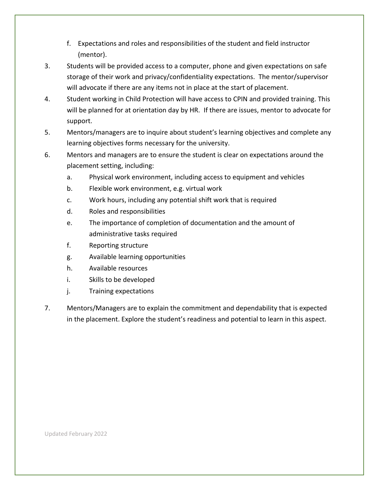- f. Expectations and roles and responsibilities of the student and field instructor (mentor).
- 3. Students will be provided access to a computer, phone and given expectations on safe storage of their work and privacy/confidentiality expectations. The mentor/supervisor will advocate if there are any items not in place at the start of placement.
- 4. Student working in Child Protection will have access to CPIN and provided training. This will be planned for at orientation day by HR. If there are issues, mentor to advocate for support.
- 5. Mentors/managers are to inquire about student's learning objectives and complete any learning objectives forms necessary for the university.
- 6. Mentors and managers are to ensure the student is clear on expectations around the placement setting, including:
	- a. Physical work environment, including access to equipment and vehicles
	- b. Flexible work environment, e.g. virtual work
	- c. Work hours, including any potential shift work that is required
	- d. Roles and responsibilities
	- e. The importance of completion of documentation and the amount of administrative tasks required
	- f. Reporting structure
	- g. Available learning opportunities
	- h. Available resources
	- i. Skills to be developed
	- j. Training expectations
- 7. Mentors/Managers are to explain the commitment and dependability that is expected in the placement. Explore the student's readiness and potential to learn in this aspect.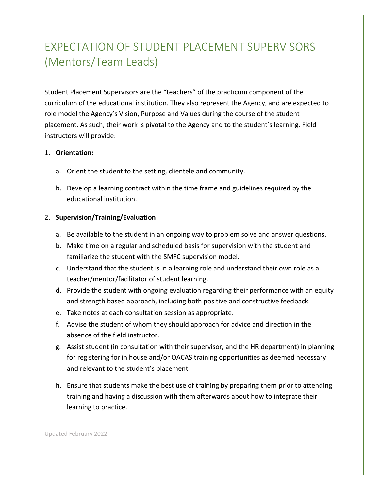# <span id="page-11-0"></span>EXPECTATION OF STUDENT PLACEMENT SUPERVISORS (Mentors/Team Leads)

Student Placement Supervisors are the "teachers" of the practicum component of the curriculum of the educational institution. They also represent the Agency, and are expected to role model the Agency's Vision, Purpose and Values during the course of the student placement. As such, their work is pivotal to the Agency and to the student's learning. Field instructors will provide:

#### 1. **Orientation:**

- a. Orient the student to the setting, clientele and community.
- b. Develop a learning contract within the time frame and guidelines required by the educational institution.

#### 2. **Supervision/Training/Evaluation**

- a. Be available to the student in an ongoing way to problem solve and answer questions.
- b. Make time on a regular and scheduled basis for supervision with the student and familiarize the student with the SMFC supervision model.
- c. Understand that the student is in a learning role and understand their own role as a teacher/mentor/facilitator of student learning.
- d. Provide the student with ongoing evaluation regarding their performance with an equity and strength based approach, including both positive and constructive feedback.
- e. Take notes at each consultation session as appropriate.
- f. Advise the student of whom they should approach for advice and direction in the absence of the field instructor.
- g. Assist student (in consultation with their supervisor, and the HR department) in planning for registering for in house and/or OACAS training opportunities as deemed necessary and relevant to the student's placement.
- h. Ensure that students make the best use of training by preparing them prior to attending training and having a discussion with them afterwards about how to integrate their learning to practice.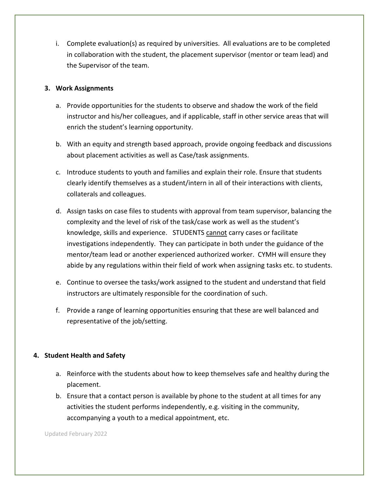i. Complete evaluation(s) as required by universities. All evaluations are to be completed in collaboration with the student, the placement supervisor (mentor or team lead) and the Supervisor of the team.

#### **3. Work Assignments**

- a. Provide opportunities for the students to observe and shadow the work of the field instructor and his/her colleagues, and if applicable, staff in other service areas that will enrich the student's learning opportunity.
- b. With an equity and strength based approach, provide ongoing feedback and discussions about placement activities as well as Case/task assignments.
- c. Introduce students to youth and families and explain their role. Ensure that students clearly identify themselves as a student/intern in all of their interactions with clients, collaterals and colleagues.
- d. Assign tasks on case files to students with approval from team supervisor, balancing the complexity and the level of risk of the task/case work as well as the student's knowledge, skills and experience. STUDENTS cannot carry cases or facilitate investigations independently. They can participate in both under the guidance of the mentor/team lead or another experienced authorized worker. CYMH will ensure they abide by any regulations within their field of work when assigning tasks etc. to students.
- e. Continue to oversee the tasks/work assigned to the student and understand that field instructors are ultimately responsible for the coordination of such.
- f. Provide a range of learning opportunities ensuring that these are well balanced and representative of the job/setting.

#### **4. Student Health and Safety**

- a. Reinforce with the students about how to keep themselves safe and healthy during the placement.
- b. Ensure that a contact person is available by phone to the student at all times for any activities the student performs independently, e.g. visiting in the community, accompanying a youth to a medical appointment, etc.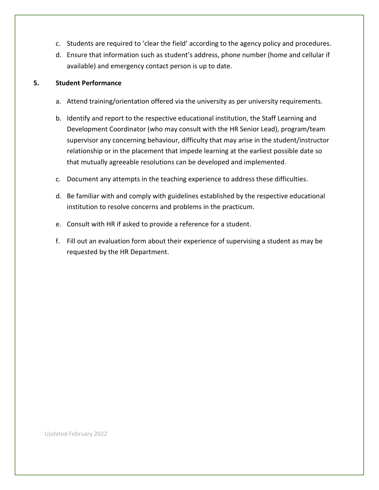- c. Students are required to 'clear the field' according to the agency policy and procedures.
- d. Ensure that information such as student's address, phone number (home and cellular if available) and emergency contact person is up to date.

#### **5. Student Performance**

- a. Attend training/orientation offered via the university as per university requirements.
- b. Identify and report to the respective educational institution, the Staff Learning and Development Coordinator (who may consult with the HR Senior Lead), program/team supervisor any concerning behaviour, difficulty that may arise in the student/instructor relationship or in the placement that impede learning at the earliest possible date so that mutually agreeable resolutions can be developed and implemented.
- c. Document any attempts in the teaching experience to address these difficulties.
- d. Be familiar with and comply with guidelines established by the respective educational institution to resolve concerns and problems in the practicum.
- e. Consult with HR if asked to provide a reference for a student.
- f. Fill out an evaluation form about their experience of supervising a student as may be requested by the HR Department.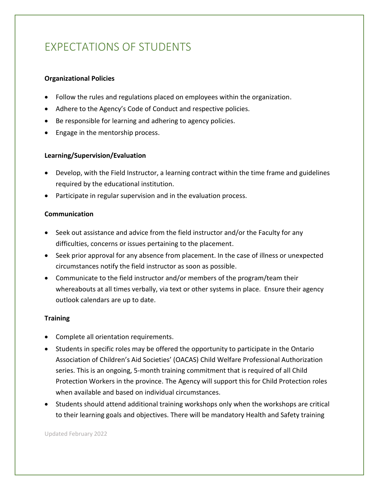# <span id="page-14-0"></span>EXPECTATIONS OF STUDENTS

#### **Organizational Policies**

- Follow the rules and regulations placed on employees within the organization.
- Adhere to the Agency's Code of Conduct and respective policies.
- Be responsible for learning and adhering to agency policies.
- Engage in the mentorship process.

#### **Learning/Supervision/Evaluation**

- Develop, with the Field Instructor, a learning contract within the time frame and guidelines required by the educational institution.
- Participate in regular supervision and in the evaluation process.

#### **Communication**

- Seek out assistance and advice from the field instructor and/or the Faculty for any difficulties, concerns or issues pertaining to the placement.
- Seek prior approval for any absence from placement. In the case of illness or unexpected circumstances notify the field instructor as soon as possible.
- Communicate to the field instructor and/or members of the program/team their whereabouts at all times verbally, via text or other systems in place. Ensure their agency outlook calendars are up to date.

#### **Training**

- Complete all orientation requirements.
- Students in specific roles may be offered the opportunity to participate in the Ontario Association of Children's Aid Societies' (OACAS) Child Welfare Professional Authorization series. This is an ongoing, 5-month training commitment that is required of all Child Protection Workers in the province. The Agency will support this for Child Protection roles when available and based on individual circumstances.
- Students should attend additional training workshops only when the workshops are critical to their learning goals and objectives. There will be mandatory Health and Safety training